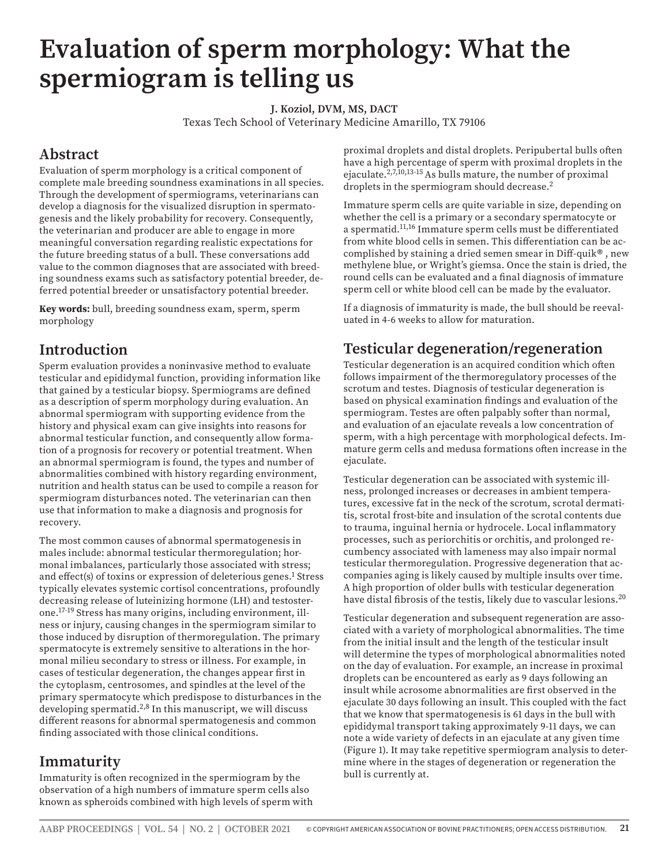# **Evaluation of sperm morphology: What the spermiogram is telling us**

**J. Koziol, DVM, MS, DACT**

Texas Tech School of Veterinary Medicine Amarillo, TX 79106

# **Abstract**

Evaluation of sperm morphology is a critical component of complete male breeding soundness examinations in all species. Through the development of spermiograms, veterinarians can develop a diagnosis for the visualized disruption in spermatogenesis and the likely probability for recovery. Consequently, the veterinarian and producer are able to engage in more meaningful conversation regarding realistic expectations for the future breeding status of a bull. These conversations add value to the common diagnoses that are associated with breeding soundness exams such as satisfactory potential breeder, deferred potential breeder or unsatisfactory potential breeder.

**Key words:** bull, breeding soundness exam, sperm, sperm morphology

# **Introduction**

Sperm evaluation provides a noninvasive method to evaluate testicular and epididymal function, providing information like that gained by a testicular biopsy. Spermiograms are defined as a description of sperm morphology during evaluation. An abnormal spermiogram with supporting evidence from the history and physical exam can give insights into reasons for abnormal testicular function, and consequently allow formation of a prognosis for recovery or potential treatment. When an abnormal spermiogram is found, the types and number of abnormalities combined with history regarding environment, nutrition and health status can be used to compile a reason for spermiogram disturbances noted. The veterinarian can then use that information to make a diagnosis and prognosis for recovery.

The most common causes of abnormal spermatogenesis in males include: abnormal testicular thermoregulation; hormonal imbalances, particularly those associated with stress; and effect(s) of toxins or expression of deleterious genes.<sup>1</sup> Stress typically elevates systemic cortisol concentrations, profoundly decreasing release of luteinizing hormone (LH) and testosterone.17-19 Stress has many origins, including environment, illness or injury, causing changes in the spermiogram similar to those induced by disruption of thermoregulation. The primary spermatocyte is extremely sensitive to alterations in the hormonal milieu secondary to stress or illness. For example, in cases of testicular degeneration, the changes appear first in the cytoplasm, centrosomes, and spindles at the level of the primary spermatocyte which predispose to disturbances in the developing spermatid.<sup>2,8</sup> In this manuscript, we will discuss different reasons for abnormal spermatogenesis and common finding associated with those clinical conditions.

# **Immaturity**

Immaturity is often recognized in the spermiogram by the observation of a high numbers of immature sperm cells also known as spheroids combined with high levels of sperm with proximal droplets and distal droplets. Peripubertal bulls often have a high percentage of sperm with proximal droplets in the ejaculate.<sup>2,7,10,13-15</sup> As bulls mature, the number of proximal droplets in the spermiogram should decrease.<sup>2</sup>

Immature sperm cells are quite variable in size, depending on whether the cell is a primary or a secondary spermatocyte or a spermatid.11,16 Immature sperm cells must be differentiated from white blood cells in semen. This differentiation can be accomplished by staining a dried semen smear in Diff-quik® , new methylene blue, or Wright's giemsa. Once the stain is dried, the round cells can be evaluated and a final diagnosis of immature sperm cell or white blood cell can be made by the evaluator.

If a diagnosis of immaturity is made, the bull should be reevaluated in 4-6 weeks to allow for maturation.

# **Testicular degeneration/regeneration**

Testicular degeneration is an acquired condition which often follows impairment of the thermoregulatory processes of the scrotum and testes. Diagnosis of testicular degeneration is based on physical examination findings and evaluation of the spermiogram. Testes are often palpably softer than normal, and evaluation of an ejaculate reveals a low concentration of sperm, with a high percentage with morphological defects. Immature germ cells and medusa formations often increase in the ejaculate.

Testicular degeneration can be associated with systemic illness, prolonged increases or decreases in ambient temperatures, excessive fat in the neck of the scrotum, scrotal dermatitis, scrotal frost-bite and insulation of the scrotal contents due to trauma, inguinal hernia or hydrocele. Local inflammatory processes, such as periorchitis or orchitis, and prolonged recumbency associated with lameness may also impair normal testicular thermoregulation. Progressive degeneration that accompanies aging is likely caused by multiple insults over time. A high proportion of older bulls with testicular degeneration have distal fibrosis of the testis, likely due to vascular lesions.<sup>20</sup>

Testicular degeneration and subsequent regeneration are associated with a variety of morphological abnormalities. The time from the initial insult and the length of the testicular insult will determine the types of morphological abnormalities noted on the day of evaluation. For example, an increase in proximal droplets can be encountered as early as 9 days following an insult while acrosome abnormalities are first observed in the ejaculate 30 days following an insult. This coupled with the fact that we know that spermatogenesis is 61 days in the bull with epididymal transport taking approximately 9-11 days, we can note a wide variety of defects in an ejaculate at any given time (Figure 1). It may take repetitive spermiogram analysis to determine where in the stages of degeneration or regeneration the bull is currently at.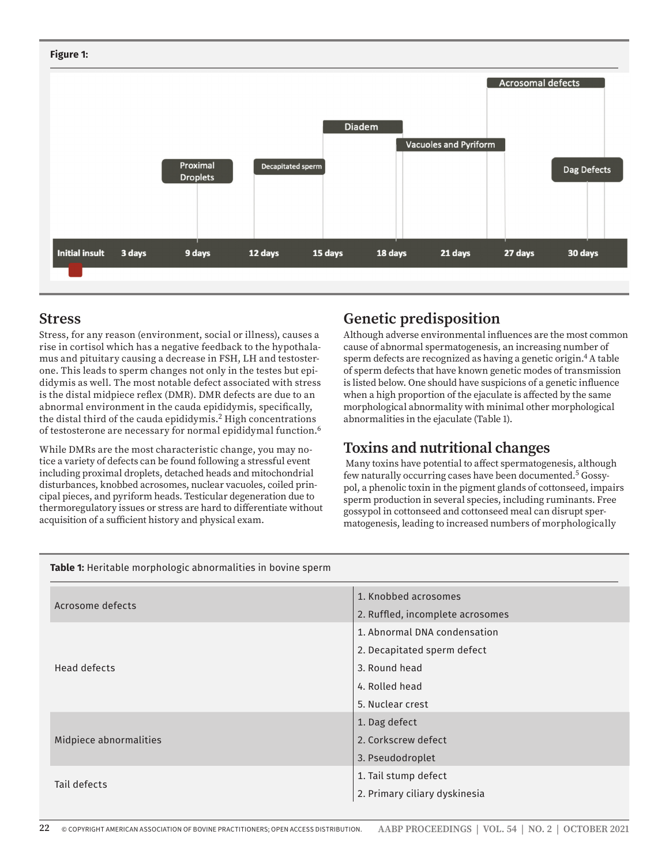#### **Figure 1:**



#### **Stress**

Stress, for any reason (environment, social or illness), causes a rise in cortisol which has a negative feedback to the hypothalamus and pituitary causing a decrease in FSH, LH and testosterone. This leads to sperm changes not only in the testes but epididymis as well. The most notable defect associated with stress is the distal midpiece reflex (DMR). DMR defects are due to an abnormal environment in the cauda epididymis, specifically, the distal third of the cauda epididymis.<sup>2</sup> High concentrations of testosterone are necessary for normal epididymal function.6

While DMRs are the most characteristic change, you may notice a variety of defects can be found following a stressful event including proximal droplets, detached heads and mitochondrial disturbances, knobbed acrosomes, nuclear vacuoles, coiled principal pieces, and pyriform heads. Testicular degeneration due to thermoregulatory issues or stress are hard to differentiate without acquisition of a sufficient history and physical exam.

## **Genetic predisposition**

Although adverse environmental influences are the most common cause of abnormal spermatogenesis, an increasing number of sperm defects are recognized as having a genetic origin.4 A table of sperm defects that have known genetic modes of transmission is listed below. One should have suspicions of a genetic influence when a high proportion of the ejaculate is affected by the same morphological abnormality with minimal other morphological abnormalities in the ejaculate (Table 1).

## **Toxins and nutritional changes**

 Many toxins have potential to affect spermatogenesis, although few naturally occurring cases have been documented.5 Gossypol, a phenolic toxin in the pigment glands of cottonseed, impairs sperm production in several species, including ruminants. Free gossypol in cottonseed and cottonseed meal can disrupt spermatogenesis, leading to increased numbers of morphologically

#### **Table 1:** Heritable morphologic abnormalities in bovine sperm

| 1. Knobbed acrosomes<br>Acrosome defects<br>2. Ruffled, incomplete acrosomes<br>1. Abnormal DNA condensation<br>2. Decapitated sperm defect<br>3. Round head<br>Head defects<br>4. Rolled head<br>5. Nuclear crest<br>1. Dag defect<br>2. Corkscrew defect<br>Midpiece abnormalities<br>3. Pseudodroplet<br>1. Tail stump defect<br>Tail defects<br>2. Primary ciliary dyskinesia |  |  |
|-----------------------------------------------------------------------------------------------------------------------------------------------------------------------------------------------------------------------------------------------------------------------------------------------------------------------------------------------------------------------------------|--|--|
|                                                                                                                                                                                                                                                                                                                                                                                   |  |  |
|                                                                                                                                                                                                                                                                                                                                                                                   |  |  |
|                                                                                                                                                                                                                                                                                                                                                                                   |  |  |
|                                                                                                                                                                                                                                                                                                                                                                                   |  |  |
|                                                                                                                                                                                                                                                                                                                                                                                   |  |  |
|                                                                                                                                                                                                                                                                                                                                                                                   |  |  |
|                                                                                                                                                                                                                                                                                                                                                                                   |  |  |
|                                                                                                                                                                                                                                                                                                                                                                                   |  |  |
|                                                                                                                                                                                                                                                                                                                                                                                   |  |  |
|                                                                                                                                                                                                                                                                                                                                                                                   |  |  |
|                                                                                                                                                                                                                                                                                                                                                                                   |  |  |
|                                                                                                                                                                                                                                                                                                                                                                                   |  |  |